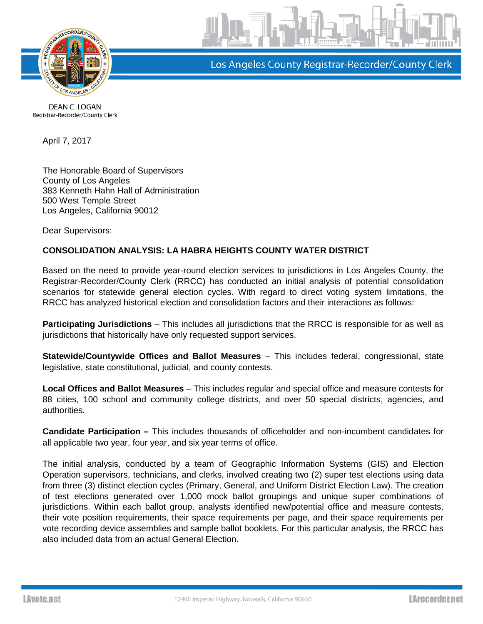

Los Angeles County Registrar-Recorder/County Clerk

DEAN C. LOGAN Registrar-Recorder/County Clerk

April 7, 2017

The Honorable Board of Supervisors County of Los Angeles 383 Kenneth Hahn Hall of Administration 500 West Temple Street Los Angeles, California 90012

Dear Supervisors:

## **CONSOLIDATION ANALYSIS: LA HABRA HEIGHTS COUNTY WATER DISTRICT**

Based on the need to provide year-round election services to jurisdictions in Los Angeles County, the Registrar-Recorder/County Clerk (RRCC) has conducted an initial analysis of potential consolidation scenarios for statewide general election cycles. With regard to direct voting system limitations, the RRCC has analyzed historical election and consolidation factors and their interactions as follows:

**Participating Jurisdictions** – This includes all jurisdictions that the RRCC is responsible for as well as jurisdictions that historically have only requested support services.

**Statewide/Countywide Offices and Ballot Measures** – This includes federal, congressional, state legislative, state constitutional, judicial, and county contests.

**Local Offices and Ballot Measures** – This includes regular and special office and measure contests for 88 cities, 100 school and community college districts, and over 50 special districts, agencies, and authorities.

**Candidate Participation –** This includes thousands of officeholder and non-incumbent candidates for all applicable two year, four year, and six year terms of office.

The initial analysis, conducted by a team of Geographic Information Systems (GIS) and Election Operation supervisors, technicians, and clerks, involved creating two (2) super test elections using data from three (3) distinct election cycles (Primary, General, and Uniform District Election Law). The creation of test elections generated over 1,000 mock ballot groupings and unique super combinations of jurisdictions. Within each ballot group, analysts identified new/potential office and measure contests, their vote position requirements, their space requirements per page, and their space requirements per vote recording device assemblies and sample ballot booklets. For this particular analysis, the RRCC has also included data from an actual General Election.